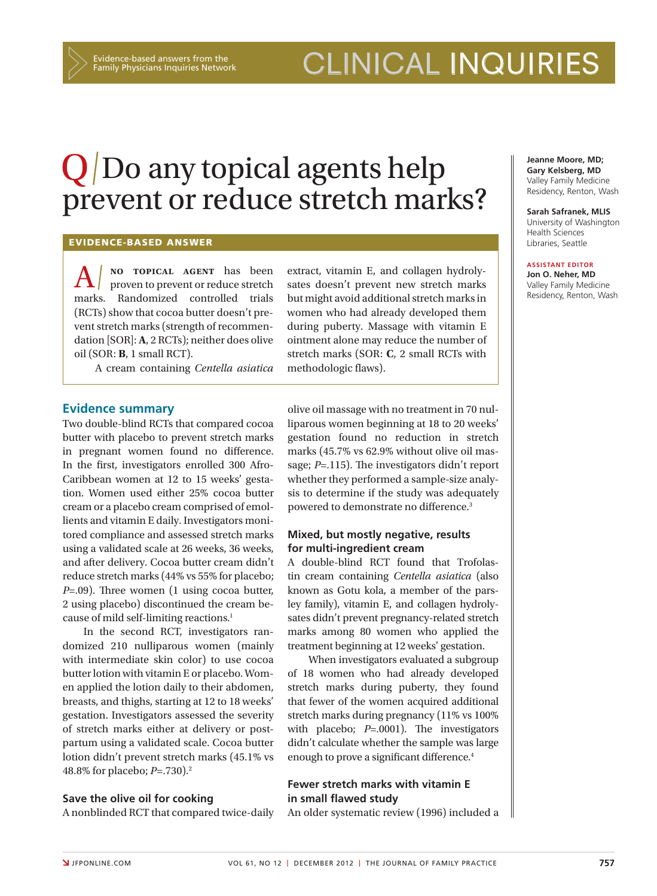Evidence-based answers from the Family Physicians Inquiries Network

# clinical inquiries

# $Q/D$ o any topical agents help prevent or reduce stretch marks?

### Evidence-based answer

**A** NO TOPICAL AGENT has been marks. proven to prevent or reduce stretch Randomized controlled trials (RCTs) show that cocoa butter doesn't prevent stretch marks (strength of recommendation [SOR]: **A**, 2 RCTs); neither does olive oil (SOR: **B**, 1 small RCT).

A cream containing *Centella asiatica* 

### **Evidence summary**

Two double-blind RCTs that compared cocoa butter with placebo to prevent stretch marks in pregnant women found no difference. In the first, investigators enrolled 300 Afro-Caribbean women at 12 to 15 weeks' gestation. Women used either 25% cocoa butter cream or a placebo cream comprised of emollients and vitamin E daily. Investigators monitored compliance and assessed stretch marks using a validated scale at 26 weeks, 36 weeks, and after delivery. Cocoa butter cream didn't reduce stretch marks (44% vs 55% for placebo; *P*=.09). Three women (1 using cocoa butter, 2 using placebo) discontinued the cream because of mild self-limiting reactions.1

In the second RCT, investigators randomized 210 nulliparous women (mainly with intermediate skin color) to use cocoa butter lotion with vitamin E or placebo. Women applied the lotion daily to their abdomen, breasts, and thighs, starting at 12 to 18 weeks' gestation. Investigators assessed the severity of stretch marks either at delivery or postpartum using a validated scale. Cocoa butter lotion didn't prevent stretch marks (45.1% vs 48.8% for placebo; *P*=.730).2

#### **Save the olive oil for cooking**

A nonblinded RCT that compared twice-daily

extract, vitamin E, and collagen hydrolysates doesn't prevent new stretch marks but might avoid additional stretch marks in women who had already developed them during puberty. Massage with vitamin E ointment alone may reduce the number of stretch marks (SOR: **C**, 2 small RCTs with methodologic flaws).

olive oil massage with no treatment in 70 nulliparous women beginning at 18 to 20 weeks' gestation found no reduction in stretch marks (45.7% vs 62.9% without olive oil massage; *P*=.115). The investigators didn't report whether they performed a sample-size analysis to determine if the study was adequately powered to demonstrate no difference.<sup>3</sup>

## **Mixed, but mostly negative, results for multi-ingredient cream**

A double-blind RCT found that Trofolastin cream containing *Centella asiatica* (also known as Gotu kola, a member of the parsley family), vitamin E, and collagen hydrolysates didn't prevent pregnancy-related stretch marks among 80 women who applied the treatment beginning at 12 weeks' gestation.

When investigators evaluated a subgroup of 18 women who had already developed stretch marks during puberty, they found that fewer of the women acquired additional stretch marks during pregnancy (11% vs 100% with placebo; *P*=.0001). The investigators didn't calculate whether the sample was large enough to prove a significant difference.<sup>4</sup>

# **Fewer stretch marks with vitamin E in small flawed study**

An older systematic review (1996) included a

**Jeanne Moore, MD; Gary Kelsberg, MD**  Valley Family Medicine Residency, Renton, Wash

**Sarah Safranek, MLIS** University of Washington Health Sciences Libraries, Seattle

#### **Assistant EDITOR Jon O. Neher, MD**

Valley Family Medicine Residency, Renton, Wash